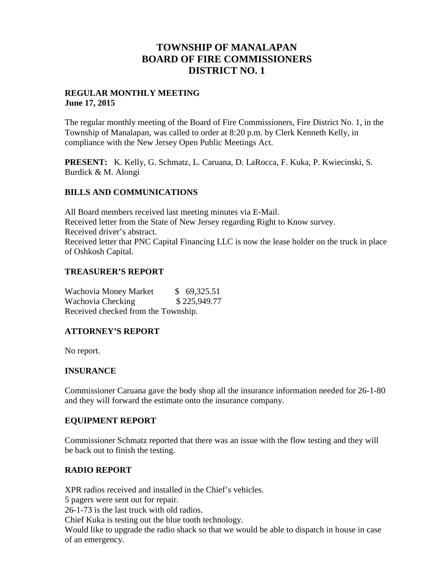# **TOWNSHIP OF MANALAPAN BOARD OF FIRE COMMISSIONERS DISTRICT NO. 1**

## **REGULAR MONTHLY MEETING June 17, 2015**

The regular monthly meeting of the Board of Fire Commissioners, Fire District No. 1, in the Township of Manalapan, was called to order at 8:20 p.m. by Clerk Kenneth Kelly, in compliance with the New Jersey Open Public Meetings Act.

**PRESENT:** K. Kelly, G. Schmatz, L. Caruana, D. LaRocca, F. Kuka, P. Kwiecinski, S. Burdick & M. Alongi

## **BILLS AND COMMUNICATIONS**

All Board members received last meeting minutes via E-Mail. Received letter from the State of New Jersey regarding Right to Know survey. Received driver's abstract. Received letter that PNC Capital Financing LLC is now the lease holder on the truck in place of Oshkosh Capital.

## **TREASURER'S REPORT**

Wachovia Money Market \$ 69,325.51 Wachovia Checking \$225,949.77 Received checked from the Township.

## **ATTORNEY'S REPORT**

No report.

## **INSURANCE**

Commissioner Caruana gave the body shop all the insurance information needed for 26-1-80 and they will forward the estimate onto the insurance company.

## **EQUIPMENT REPORT**

Commissioner Schmatz reported that there was an issue with the flow testing and they will be back out to finish the testing.

## **RADIO REPORT**

XPR radios received and installed in the Chief's vehicles.

5 pagers were sent out for repair.

26-1-73 is the last truck with old radios.

Chief Kuka is testing out the blue tooth technology.

Would like to upgrade the radio shack so that we would be able to dispatch in house in case of an emergency.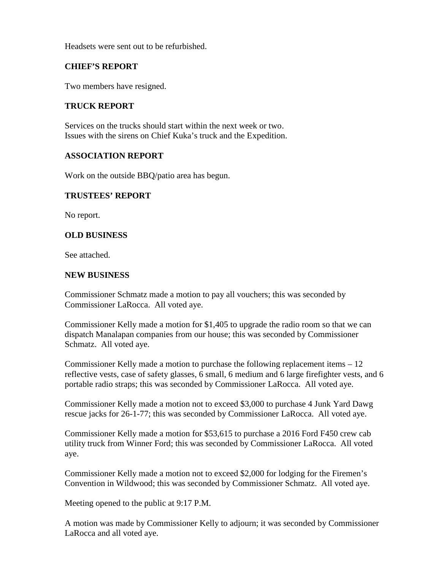Headsets were sent out to be refurbished.

## **CHIEF'S REPORT**

Two members have resigned.

## **TRUCK REPORT**

Services on the trucks should start within the next week or two. Issues with the sirens on Chief Kuka's truck and the Expedition.

## **ASSOCIATION REPORT**

Work on the outside BBQ/patio area has begun.

## **TRUSTEES' REPORT**

No report.

## **OLD BUSINESS**

See attached.

#### **NEW BUSINESS**

Commissioner Schmatz made a motion to pay all vouchers; this was seconded by Commissioner LaRocca. All voted aye.

Commissioner Kelly made a motion for \$1,405 to upgrade the radio room so that we can dispatch Manalapan companies from our house; this was seconded by Commissioner Schmatz. All voted aye.

Commissioner Kelly made a motion to purchase the following replacement items – 12 reflective vests, case of safety glasses, 6 small, 6 medium and 6 large firefighter vests, and 6 portable radio straps; this was seconded by Commissioner LaRocca. All voted aye.

Commissioner Kelly made a motion not to exceed \$3,000 to purchase 4 Junk Yard Dawg rescue jacks for 26-1-77; this was seconded by Commissioner LaRocca. All voted aye.

Commissioner Kelly made a motion for \$53,615 to purchase a 2016 Ford F450 crew cab utility truck from Winner Ford; this was seconded by Commissioner LaRocca. All voted aye.

Commissioner Kelly made a motion not to exceed \$2,000 for lodging for the Firemen's Convention in Wildwood; this was seconded by Commissioner Schmatz. All voted aye.

Meeting opened to the public at 9:17 P.M.

A motion was made by Commissioner Kelly to adjourn; it was seconded by Commissioner LaRocca and all voted aye.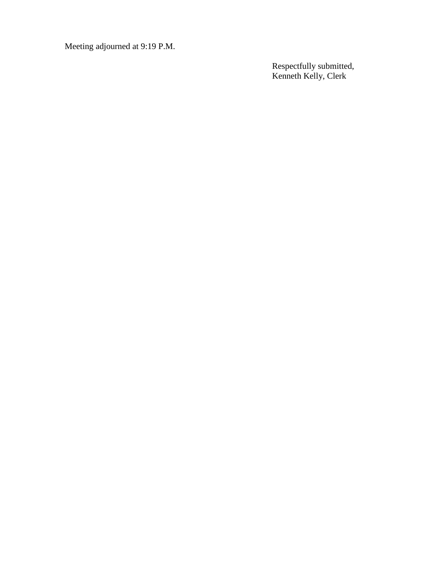Meeting adjourned at 9:19 P.M.

Respectfully submitted, Kenneth Kelly, Clerk